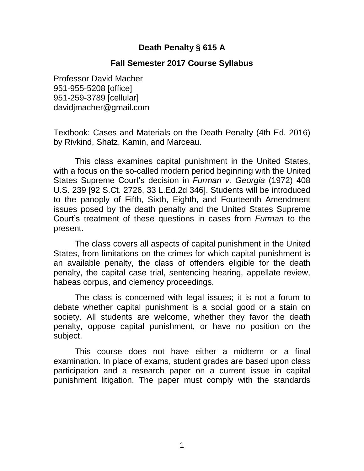### **Death Penalty § 615 A**

### **Fall Semester 2017 Course Syllabus**

Professor David Macher 951-955-5208 [office] 951-259-3789 [cellular] davidjmacher@gmail.com

Textbook: Cases and Materials on the Death Penalty (4th Ed. 2016) by Rivkind, Shatz, Kamin, and Marceau.

This class examines capital punishment in the United States, with a focus on the so-called modern period beginning with the United States Supreme Court's decision in *Furman v. Georgia* (1972) 408 U.S. 239 [92 S.Ct. 2726, 33 L.Ed.2d 346]. Students will be introduced to the panoply of Fifth, Sixth, Eighth, and Fourteenth Amendment issues posed by the death penalty and the United States Supreme Court's treatment of these questions in cases from *Furman* to the present.

The class covers all aspects of capital punishment in the United States, from limitations on the crimes for which capital punishment is an available penalty, the class of offenders eligible for the death penalty, the capital case trial, sentencing hearing, appellate review, habeas corpus, and clemency proceedings.

The class is concerned with legal issues; it is not a forum to debate whether capital punishment is a social good or a stain on society. All students are welcome, whether they favor the death penalty, oppose capital punishment, or have no position on the subject.

This course does not have either a midterm or a final examination. In place of exams, student grades are based upon class participation and a research paper on a current issue in capital punishment litigation. The paper must comply with the standards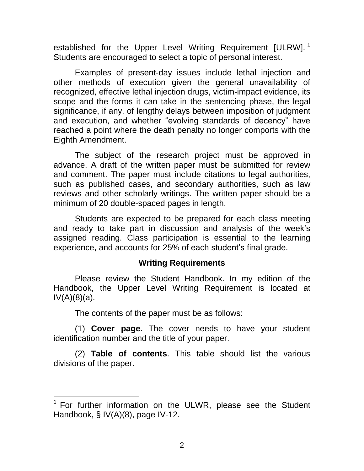established for the Upper Level Writing Requirement [ULRW].<sup>1</sup> Students are encouraged to select a topic of personal interest.

Examples of present-day issues include lethal injection and other methods of execution given the general unavailability of recognized, effective lethal injection drugs, victim-impact evidence, its scope and the forms it can take in the sentencing phase, the legal significance, if any, of lengthy delays between imposition of judgment and execution, and whether "evolving standards of decency" have reached a point where the death penalty no longer comports with the Eighth Amendment.

The subject of the research project must be approved in advance. A draft of the written paper must be submitted for review and comment. The paper must include citations to legal authorities, such as published cases, and secondary authorities, such as law reviews and other scholarly writings. The written paper should be a minimum of 20 double-spaced pages in length.

Students are expected to be prepared for each class meeting and ready to take part in discussion and analysis of the week's assigned reading. Class participation is essential to the learning experience, and accounts for 25% of each student's final grade.

#### **Writing Requirements**

Please review the Student Handbook. In my edition of the Handbook, the Upper Level Writing Requirement is located at  $IV(A)(8)(a)$ .

The contents of the paper must be as follows:

l

(1) **Cover page**. The cover needs to have your student identification number and the title of your paper.

(2) **Table of contents**. This table should list the various divisions of the paper.

<sup>&</sup>lt;sup>1</sup> For further information on the ULWR, please see the Student Handbook, § IV(A)(8), page IV-12.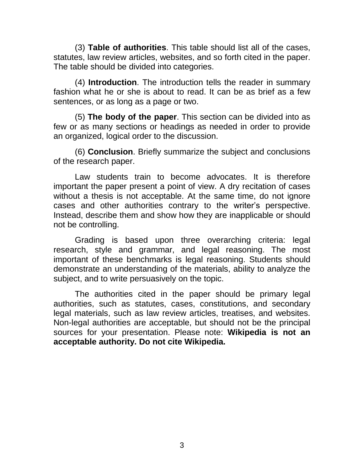(3) **Table of authorities**. This table should list all of the cases, statutes, law review articles, websites, and so forth cited in the paper. The table should be divided into categories.

(4) **Introduction**. The introduction tells the reader in summary fashion what he or she is about to read. It can be as brief as a few sentences, or as long as a page or two.

(5) **The body of the paper**. This section can be divided into as few or as many sections or headings as needed in order to provide an organized, logical order to the discussion.

(6) **Conclusion**. Briefly summarize the subject and conclusions of the research paper.

Law students train to become advocates. It is therefore important the paper present a point of view. A dry recitation of cases without a thesis is not acceptable. At the same time, do not ignore cases and other authorities contrary to the writer's perspective. Instead, describe them and show how they are inapplicable or should not be controlling.

Grading is based upon three overarching criteria: legal research, style and grammar, and legal reasoning. The most important of these benchmarks is legal reasoning. Students should demonstrate an understanding of the materials, ability to analyze the subject, and to write persuasively on the topic.

The authorities cited in the paper should be primary legal authorities, such as statutes, cases, constitutions, and secondary legal materials, such as law review articles, treatises, and websites. Non-legal authorities are acceptable, but should not be the principal sources for your presentation. Please note: **Wikipedia is not an acceptable authority. Do not cite Wikipedia.**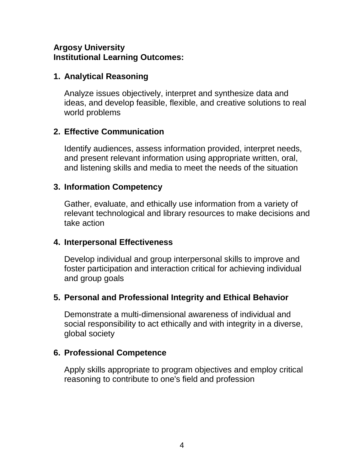## **Argosy University Institutional Learning Outcomes:**

## **1. Analytical Reasoning**

Analyze issues objectively, interpret and synthesize data and ideas, and develop feasible, flexible, and creative solutions to real world problems

# **2. Effective Communication**

Identify audiences, assess information provided, interpret needs, and present relevant information using appropriate written, oral, and listening skills and media to meet the needs of the situation

## **3. Information Competency**

Gather, evaluate, and ethically use information from a variety of relevant technological and library resources to make decisions and take action

## **4. Interpersonal Effectiveness**

Develop individual and group interpersonal skills to improve and foster participation and interaction critical for achieving individual and group goals

# **5. Personal and Professional Integrity and Ethical Behavior**

Demonstrate a multi-dimensional awareness of individual and social responsibility to act ethically and with integrity in a diverse, global society

# **6. Professional Competence**

Apply skills appropriate to program objectives and employ critical reasoning to contribute to one's field and profession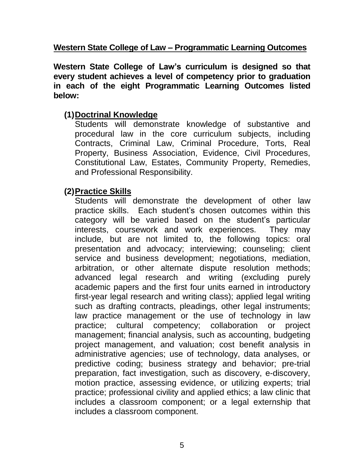### **Western State College of Law – Programmatic Learning Outcomes**

**Western State College of Law's curriculum is designed so that every student achieves a level of competency prior to graduation in each of the eight Programmatic Learning Outcomes listed below:**

### **(1)Doctrinal Knowledge**

Students will demonstrate knowledge of substantive and procedural law in the core curriculum subjects, including Contracts, Criminal Law, Criminal Procedure, Torts, Real Property, Business Association, Evidence, Civil Procedures, Constitutional Law, Estates, Community Property, Remedies, and Professional Responsibility.

### **(2)Practice Skills**

Students will demonstrate the development of other law practice skills. Each student's chosen outcomes within this category will be varied based on the student's particular interests, coursework and work experiences. They may include, but are not limited to, the following topics: oral presentation and advocacy; interviewing; counseling; client service and business development; negotiations, mediation, arbitration, or other alternate dispute resolution methods; advanced legal research and writing (excluding purely academic papers and the first four units earned in introductory first-year legal research and writing class); applied legal writing such as drafting contracts, pleadings, other legal instruments; law practice management or the use of technology in law practice; cultural competency; collaboration or project management; financial analysis, such as accounting, budgeting project management, and valuation; cost benefit analysis in administrative agencies; use of technology, data analyses, or predictive coding; business strategy and behavior; pre-trial preparation, fact investigation, such as discovery, e-discovery, motion practice, assessing evidence, or utilizing experts; trial practice; professional civility and applied ethics; a law clinic that includes a classroom component; or a legal externship that includes a classroom component.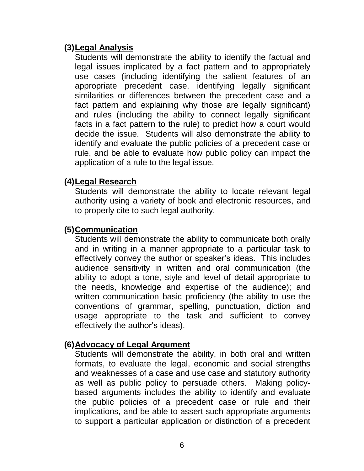### **(3)Legal Analysis**

Students will demonstrate the ability to identify the factual and legal issues implicated by a fact pattern and to appropriately use cases (including identifying the salient features of an appropriate precedent case, identifying legally significant similarities or differences between the precedent case and a fact pattern and explaining why those are legally significant) and rules (including the ability to connect legally significant facts in a fact pattern to the rule) to predict how a court would decide the issue. Students will also demonstrate the ability to identify and evaluate the public policies of a precedent case or rule, and be able to evaluate how public policy can impact the application of a rule to the legal issue.

#### **(4)Legal Research**

Students will demonstrate the ability to locate relevant legal authority using a variety of book and electronic resources, and to properly cite to such legal authority.

### **(5)Communication**

Students will demonstrate the ability to communicate both orally and in writing in a manner appropriate to a particular task to effectively convey the author or speaker's ideas. This includes audience sensitivity in written and oral communication (the ability to adopt a tone, style and level of detail appropriate to the needs, knowledge and expertise of the audience); and written communication basic proficiency (the ability to use the conventions of grammar, spelling, punctuation, diction and usage appropriate to the task and sufficient to convey effectively the author's ideas).

### **(6)Advocacy of Legal Argument**

Students will demonstrate the ability, in both oral and written formats, to evaluate the legal, economic and social strengths and weaknesses of a case and use case and statutory authority as well as public policy to persuade others. Making policybased arguments includes the ability to identify and evaluate the public policies of a precedent case or rule and their implications, and be able to assert such appropriate arguments to support a particular application or distinction of a precedent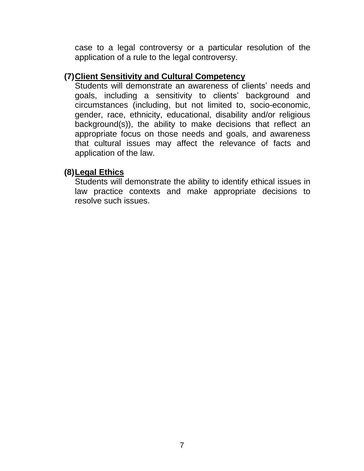case to a legal controversy or a particular resolution of the application of a rule to the legal controversy.

#### **(7)Client Sensitivity and Cultural Competency**

Students will demonstrate an awareness of clients' needs and goals, including a sensitivity to clients' background and circumstances (including, but not limited to, socio-economic, gender, race, ethnicity, educational, disability and/or religious background(s)), the ability to make decisions that reflect an appropriate focus on those needs and goals, and awareness that cultural issues may affect the relevance of facts and application of the law.

#### **(8)Legal Ethics**

Students will demonstrate the ability to identify ethical issues in law practice contexts and make appropriate decisions to resolve such issues.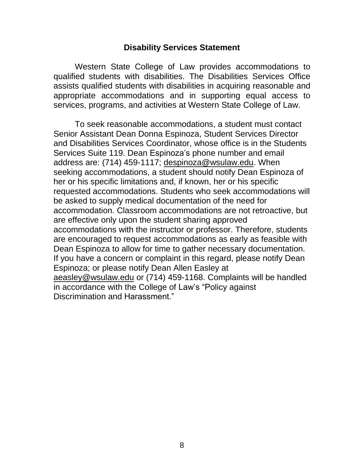#### **Disability Services Statement**

Western State College of Law provides accommodations to qualified students with disabilities. The Disabilities Services Office assists qualified students with disabilities in acquiring reasonable and appropriate accommodations and in supporting equal access to services, programs, and activities at Western State College of Law.

To seek reasonable accommodations, a student must contact Senior Assistant Dean Donna Espinoza, Student Services Director and Disabilities Services Coordinator, whose office is in the Students Services Suite 119. Dean Espinoza's phone number and email address are: (714) 459-1117; [despinoza@wsulaw.edu.](mailto:despinoza@wsulaw.edu) When seeking accommodations, a student should notify Dean Espinoza of her or his specific limitations and, if known, her or his specific requested accommodations. Students who seek accommodations will be asked to supply medical documentation of the need for accommodation. Classroom accommodations are not retroactive, but are effective only upon the student sharing approved accommodations with the instructor or professor. Therefore, students are encouraged to request accommodations as early as feasible with Dean Espinoza to allow for time to gather necessary documentation. If you have a concern or complaint in this regard, please notify Dean Espinoza; or please notify Dean Allen Easley at [aeasley@wsulaw.edu](mailto:aeasley@wsulaw.edu) or (714) 459-1168. Complaints will be handled in accordance with the College of Law's "Policy against Discrimination and Harassment."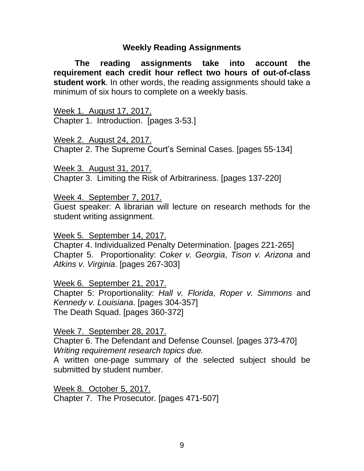#### **Weekly Reading Assignments**

**The reading assignments take into account the requirement each credit hour reflect two hours of out-of-class student work**. In other words, the reading assignments should take a minimum of six hours to complete on a weekly basis.

Week 1. August 17, 2017. Chapter 1. Introduction. [pages 3-53.]

Week 2. August 24, 2017. Chapter 2. The Supreme Court's Seminal Cases. [pages 55-134]

Week 3. August 31, 2017. Chapter 3. Limiting the Risk of Arbitrariness. [pages 137-220]

Week 4. September 7, 2017.

Guest speaker: A librarian will lecture on research methods for the student writing assignment.

Week 5. September 14, 2017.

Chapter 4. Individualized Penalty Determination. [pages 221-265] Chapter 5. Proportionality: *Coker v. Georgia*, *Tison v. Arizona* and *Atkins v. Virginia*. [pages 267-303]

Week 6. September 21, 2017.

Chapter 5: Proportionality: *Hall v. Florida*, *Roper v. Simmons* and *Kennedy v. Louisiana*. [pages 304-357] The Death Squad. [pages 360-372]

Week 7. September 28, 2017.

Chapter 6. The Defendant and Defense Counsel. [pages 373-470] *Writing requirement research topics due.*

A written one-page summary of the selected subject should be submitted by student number.

Week 8. October 5, 2017. Chapter 7. The Prosecutor. [pages 471-507]